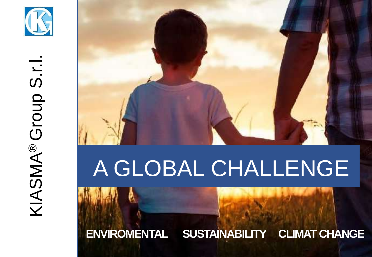

# KIASMA® Group S.r.l. KIASMA® Group S.r.I



### A GLOBAL CHALLENGE

**ENVIROMENTAL SUSTAINABILITY CLIMAT CHANGE**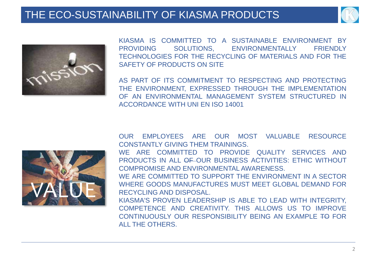#### THE ECO-SUSTAINABILITY OF KIASMA PRODUCTS





KIASMA IS COMMITTED TO A SUSTAINABLE ENVIRONMENT BY PROVIDING SOLUTIONS, ENVIRONMENTALLY FRIENDLY TECHNOLOGIES FOR THE RECYCLING OF MATERIALS AND FOR THE SAFETY OF PRODUCTS ON SITE

AS PART OF ITS COMMITMENT TO RESPECTING AND PROTECTING THE ENVIRONMENT, EXPRESSED THROUGH THE IMPLEMENTATION OF AN ENVIRONMENTAL MANAGEMENT SYSTEM STRUCTURED IN ACCORDANCE WITH UNI EN ISO 14001



OUR EMPLOYEES ARE OUR MOST VALUABLE RESOURCE CONSTANTLY GIVING THEM TRAININGS.

WE ARE COMMITTED TO PROVIDE QUALITY SERVICES AND PRODUCTS IN ALL OF OUR BUSINESS ACTIVITIES: ETHIC WITHOUT COMPROMISE AND ENVIRONMENTAL AWARENESS.

WE ARE COMMITTED TO SUPPORT THE ENVIRONMENT IN A SECTOR WHERE GOODS MANUFACTURES MUST MEET GLOBAL DEMAND FOR RECYCLING AND DISPOSAL

KIASMA'S PROVEN LEADERSHIP IS ABLE TO LEAD WITH INTEGRITY, COMPETENCE AND CREATIVITY. THIS ALLOWS US TO IMPROVE CONTINUOUSLY OUR RESPONSIBILITY BEING AN EXAMPLE TO FOR ALL THE OTHERS.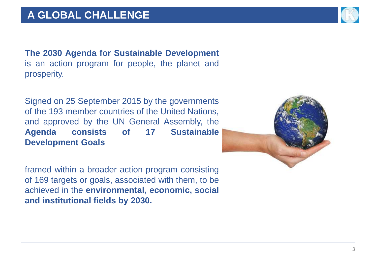**The 2030 Agenda for Sustainable Development** is an action program for people, the planet and prosperity.

Signed on 25 September 2015 by the governments of the 193 member countries of the United Nations, and approved by the UN General Assembly, the **Agenda consists of 17 Sustainable Development Goals**

framed within a broader action program consisting of 169 targets or goals, associated with them, to be achieved in the **environmental, economic, social and institutional fields by 2030.**



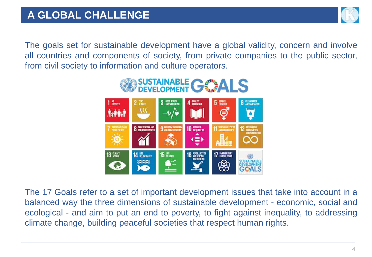

The goals set for sustainable development have a global validity, concern and involve all countries and components of society, from private companies to the public sector, from civil society to information and culture operators.



The 17 Goals refer to a set of important development issues that take into account in a balanced way the three dimensions of sustainable development - economic, social and ecological - and aim to put an end to poverty, to fight against inequality, to addressing climate change, building peaceful societies that respect human rights.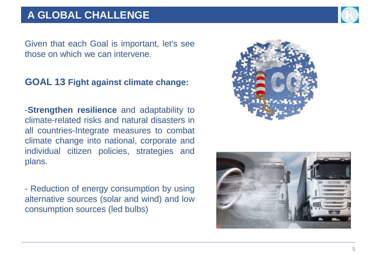#### **A GLOBAL CHALLENGE**



Given that each Goal is important, let's see those on which we can intervene.

#### **GOAL 13 Fight against climate change:**

-**Strengthen resilience** and adaptability to climate-related risks and natural disasters in all countries-Integrate measures to combat climate change into national, corporate and individual citizen policies, strategies and plans.

- Reduction of energy consumption by using alternative sources (solar and wind) and low consumption sources (led bulbs)



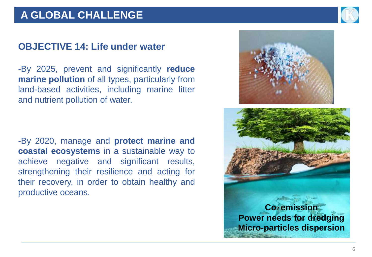#### **A GLOBAL CHALLENGE**

#### **OBJECTIVE 14: Life under water**

-By 2025, prevent and significantly **reduce marine pollution** of all types, particularly from land-based activities, including marine litter and nutrient pollution of water.

-By 2020, manage and **protect marine and coastal ecosystems** in a sustainable way to achieve negative and significant results, strengthening their resilience and acting for their recovery, in order to obtain healthy and productive oceans.



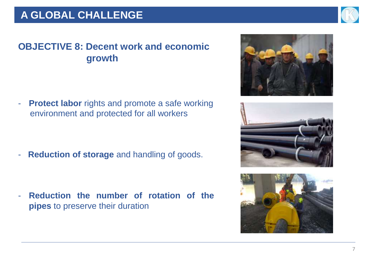

#### **OBJECTIVE 8: Decent work and economic growth**

- **Protect labor** rights and promote a safe working environment and protected for all workers

- **Reduction of storage** and handling of goods.

- **Reduction the number of rotation of the pipes** to preserve their duration





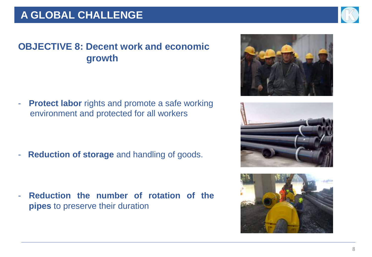

#### **OBJECTIVE 8: Decent work and economic growth**

- **Protect labor** rights and promote a safe working environment and protected for all workers

- **Reduction of storage** and handling of goods.

- **Reduction the number of rotation of the pipes** to preserve their duration





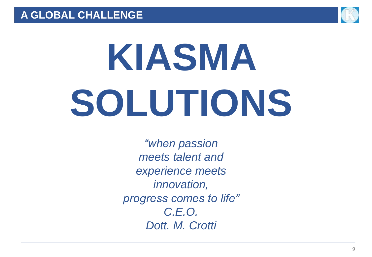

## **KIASMA SOLUTIONS**

*"when passion meets talent and experience meets innovation, progress comes to life" C.E.O. Dott. M. Crotti*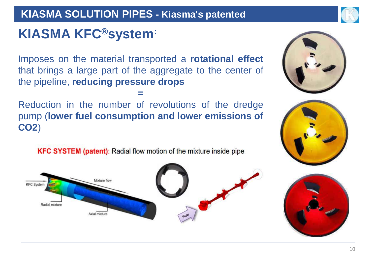#### **KIASMA SOLUTION PIPES - Kiasma's patented**



#### **KIASMA KFC®system:**

Imposes on the material transported a **rotational effect** that brings a large part of the aggregate to the center of the pipeline, **reducing pressure drops**

**=** 

Reduction in the number of revolutions of the dredge pump (**lower fuel consumption and lower emissions of CO2**)

**KFC SYSTEM (patent):** Radial flow motion of the mixture inside pipe







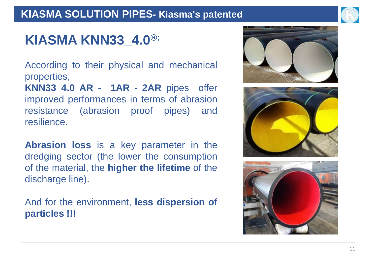#### **KIASMA SOLUTION PIPES- Kiasma's patented**



#### **KIASMA KNN33\_4.0 ®:**

According to their physical and mechanical properties,

**KNN33\_4.0 AR - 1AR - 2AR** pipes offer improved performances in terms of abrasion resistance (abrasion proof pipes) and resilience.

**Abrasion loss** is a key parameter in the dredging sector (the lower the consumption of the material, the **higher the lifetime** of the discharge line).

And for the environment, **less dispersion of particles !!!**





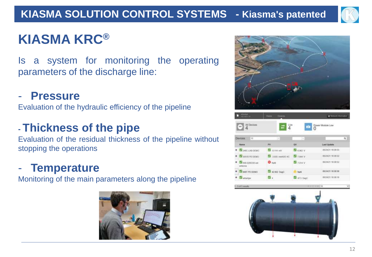

#### **KIASMA KRC®**

Is a system for monitoring the operating parameters of the discharge line:

#### - **Pressure**

Evaluation of the hydraulic efficiency of the pipeline

#### **- Thickness of the pipe**

Evaluation of the residual thickness of the pipeline without stopping the operations

#### - **Temperature**

Monitoring of the main parameters along the pipeline







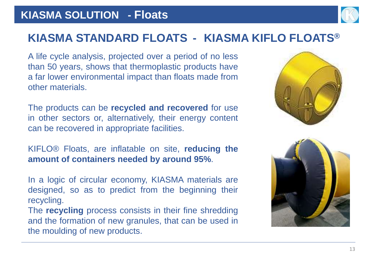#### **KIASMA SOLUTION - Floats**



#### **KIASMA STANDARD FLOATS - KIASMA KIFLO FLOATS®**

A life cycle analysis, projected over a period of no less than 50 years, shows that thermoplastic products have a far lower environmental impact than floats made from other materials.

The products can be **recycled and recovered** for use in other sectors or, alternatively, their energy content can be recovered in appropriate facilities.

KIFLO® Floats, are inflatable on site, **reducing the amount of containers needed by around 95%**.

In a logic of circular economy, KIASMA materials are designed, so as to predict from the beginning their recycling.

The **recycling** process consists in their fine shredding and the formation of new granules, that can be used in the moulding of new products.



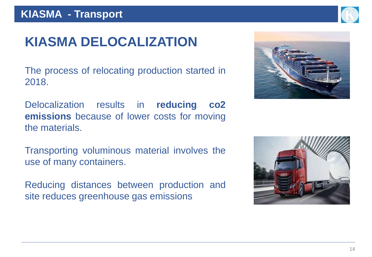

The process of relocating production started in 2018.

Delocalization results in **reducing co2 emissions** because of lower costs for moving the materials.

Transporting voluminous material involves the use of many containers.

Reducing distances between production and site reduces greenhouse gas emissions





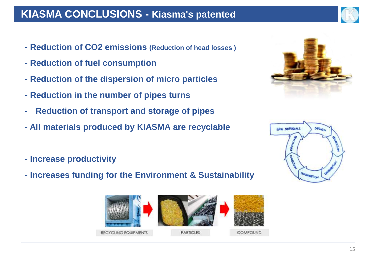#### **KIASMA CONCLUSIONS - Kiasma's patented**

- **- Reduction of CO2 emissions (Reduction of head losses )**
- **- Reduction of fuel consumption**
- **- Reduction of the dispersion of micro particles**
- **- Reduction in the number of pipes turns**
- **Reduction of transport and storage of pipes**
- **- All materials produced by KIASMA are recyclable**
- **- Increase productivity**
- **- Increases funding for the Environment & Sustainability**